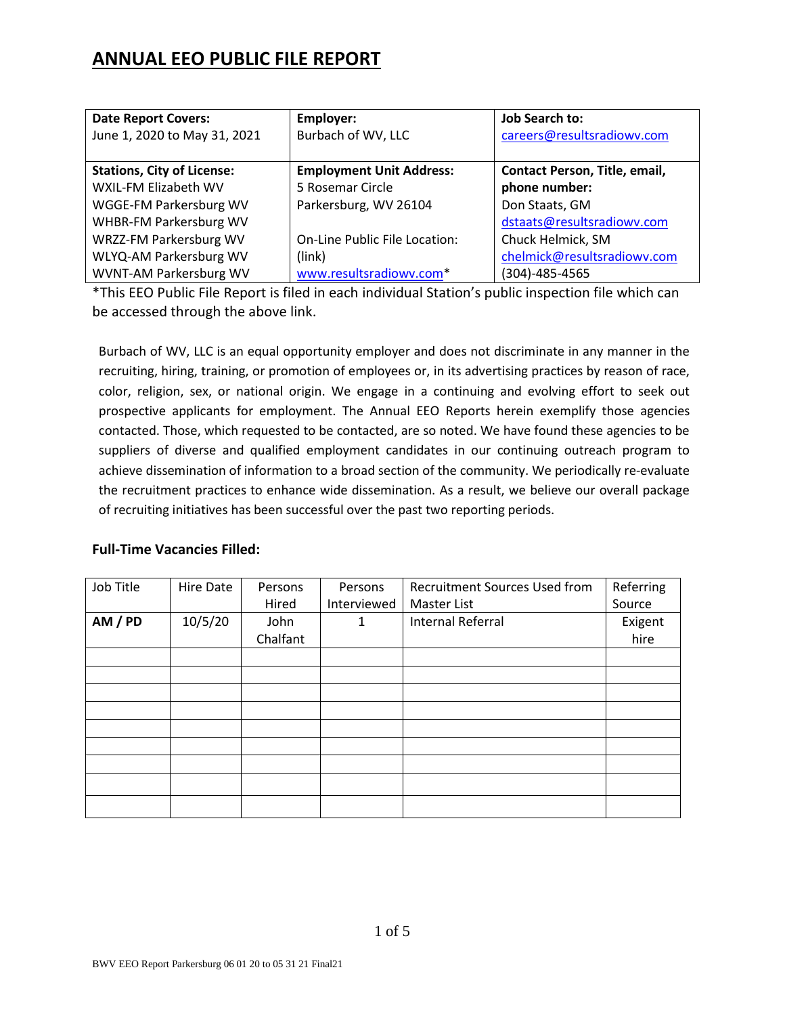# **ANNUAL EEO PUBLIC FILE REPORT**

| <b>Date Report Covers:</b>        | Employer:                       | <b>Job Search to:</b>         |
|-----------------------------------|---------------------------------|-------------------------------|
| June 1, 2020 to May 31, 2021      | Burbach of WV, LLC              | careers@resultsradiowv.com    |
|                                   |                                 |                               |
| <b>Stations, City of License:</b> | <b>Employment Unit Address:</b> | Contact Person, Title, email, |
| WXIL-FM Elizabeth WV              | 5 Rosemar Circle                | phone number:                 |
| WGGE-FM Parkersburg WV            | Parkersburg, WV 26104           | Don Staats, GM                |
| WHBR-FM Parkersburg WV            |                                 | dstaats@resultsradiowv.com    |
| WRZZ-FM Parkersburg WV            | On-Line Public File Location:   | Chuck Helmick, SM             |
| WLYQ-AM Parkersburg WV            | (link)                          | chelmick@resultsradiowv.com   |
| WVNT-AM Parkersburg WV            | www.resultsradiowv.com*         | $(304) - 485 - 4565$          |

\*This EEO Public File Report is filed in each individual Station's public inspection file which can be accessed through the above link.

Burbach of WV, LLC is an equal opportunity employer and does not discriminate in any manner in the recruiting, hiring, training, or promotion of employees or, in its advertising practices by reason of race, color, religion, sex, or national origin. We engage in a continuing and evolving effort to seek out prospective applicants for employment. The Annual EEO Reports herein exemplify those agencies contacted. Those, which requested to be contacted, are so noted. We have found these agencies to be suppliers of diverse and qualified employment candidates in our continuing outreach program to achieve dissemination of information to a broad section of the community. We periodically re‐evaluate the recruitment practices to enhance wide dissemination. As a result, we believe our overall package of recruiting initiatives has been successful over the past two reporting periods.

| Job Title | Hire Date | Persons  | Persons     | <b>Recruitment Sources Used from</b> | Referring |
|-----------|-----------|----------|-------------|--------------------------------------|-----------|
|           |           | Hired    | Interviewed | Master List                          | Source    |
| AM / PD   | 10/5/20   | John     | 1           | Internal Referral                    | Exigent   |
|           |           | Chalfant |             |                                      | hire      |
|           |           |          |             |                                      |           |
|           |           |          |             |                                      |           |
|           |           |          |             |                                      |           |
|           |           |          |             |                                      |           |
|           |           |          |             |                                      |           |
|           |           |          |             |                                      |           |
|           |           |          |             |                                      |           |
|           |           |          |             |                                      |           |
|           |           |          |             |                                      |           |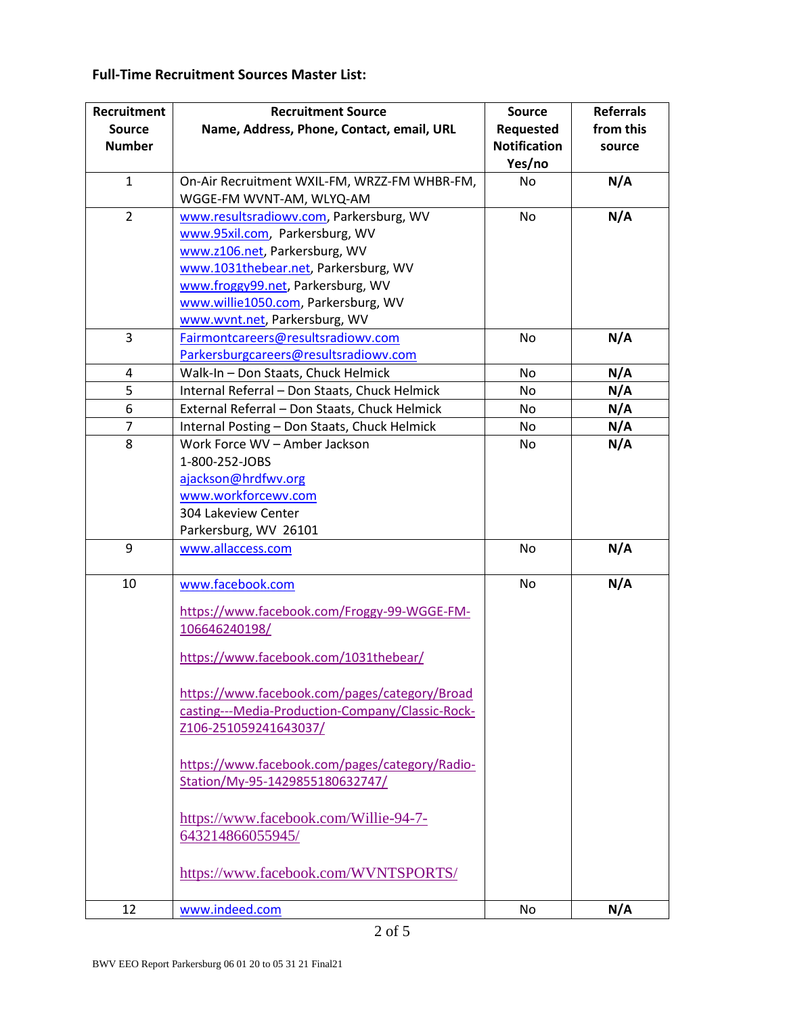## **Full-Time Recruitment Sources Master List:**

| <b>Recruitment</b><br><b>Source</b><br><b>Number</b> | <b>Recruitment Source</b><br>Name, Address, Phone, Contact, email, URL                                                                                                                                                                                                                                                                                                                                                                            | <b>Source</b><br>Requested<br><b>Notification</b><br>Yes/no | <b>Referrals</b><br>from this<br>source |
|------------------------------------------------------|---------------------------------------------------------------------------------------------------------------------------------------------------------------------------------------------------------------------------------------------------------------------------------------------------------------------------------------------------------------------------------------------------------------------------------------------------|-------------------------------------------------------------|-----------------------------------------|
| $\mathbf{1}$                                         | On-Air Recruitment WXIL-FM, WRZZ-FM WHBR-FM,<br>WGGE-FM WVNT-AM, WLYQ-AM                                                                                                                                                                                                                                                                                                                                                                          | No                                                          | N/A                                     |
| $\overline{2}$                                       | www.resultsradiowv.com, Parkersburg, WV<br>www.95xil.com, Parkersburg, WV<br>www.z106.net, Parkersburg, WV<br>www.1031thebear.net, Parkersburg, WV<br>www.froggy99.net, Parkersburg, WV<br>www.willie1050.com, Parkersburg, WV<br>www.wvnt.net, Parkersburg, WV                                                                                                                                                                                   | No                                                          | N/A                                     |
| 3                                                    | Fairmontcareers@resultsradiowv.com<br>Parkersburgcareers@resultsradiowv.com                                                                                                                                                                                                                                                                                                                                                                       | No                                                          | N/A                                     |
| 4                                                    | Walk-In - Don Staats, Chuck Helmick                                                                                                                                                                                                                                                                                                                                                                                                               | No                                                          | N/A                                     |
| 5                                                    | Internal Referral - Don Staats, Chuck Helmick                                                                                                                                                                                                                                                                                                                                                                                                     | No                                                          | N/A                                     |
| 6                                                    | External Referral - Don Staats, Chuck Helmick                                                                                                                                                                                                                                                                                                                                                                                                     | No                                                          | N/A                                     |
| $\overline{7}$                                       | Internal Posting - Don Staats, Chuck Helmick                                                                                                                                                                                                                                                                                                                                                                                                      | No                                                          | N/A                                     |
| 8                                                    | Work Force WV - Amber Jackson<br>1-800-252-JOBS<br>ajackson@hrdfwv.org<br>www.workforcewv.com<br>304 Lakeview Center<br>Parkersburg, WV 26101                                                                                                                                                                                                                                                                                                     | No                                                          | N/A                                     |
| 9                                                    | www.allaccess.com                                                                                                                                                                                                                                                                                                                                                                                                                                 | No                                                          | N/A                                     |
| 10                                                   | www.facebook.com<br>https://www.facebook.com/Froggy-99-WGGE-FM-<br>106646240198/<br>https://www.facebook.com/1031thebear/<br>https://www.facebook.com/pages/category/Broad<br>casting---Media-Production-Company/Classic-Rock-<br>Z106-251059241643037/<br>https://www.facebook.com/pages/category/Radio-<br>Station/My-95-1429855180632747/<br>https://www.facebook.com/Willie-94-7-<br>643214866055945/<br>https://www.facebook.com/WVNTSPORTS/ | <b>No</b>                                                   | N/A                                     |
| 12                                                   | www.indeed.com                                                                                                                                                                                                                                                                                                                                                                                                                                    | No                                                          | N/A                                     |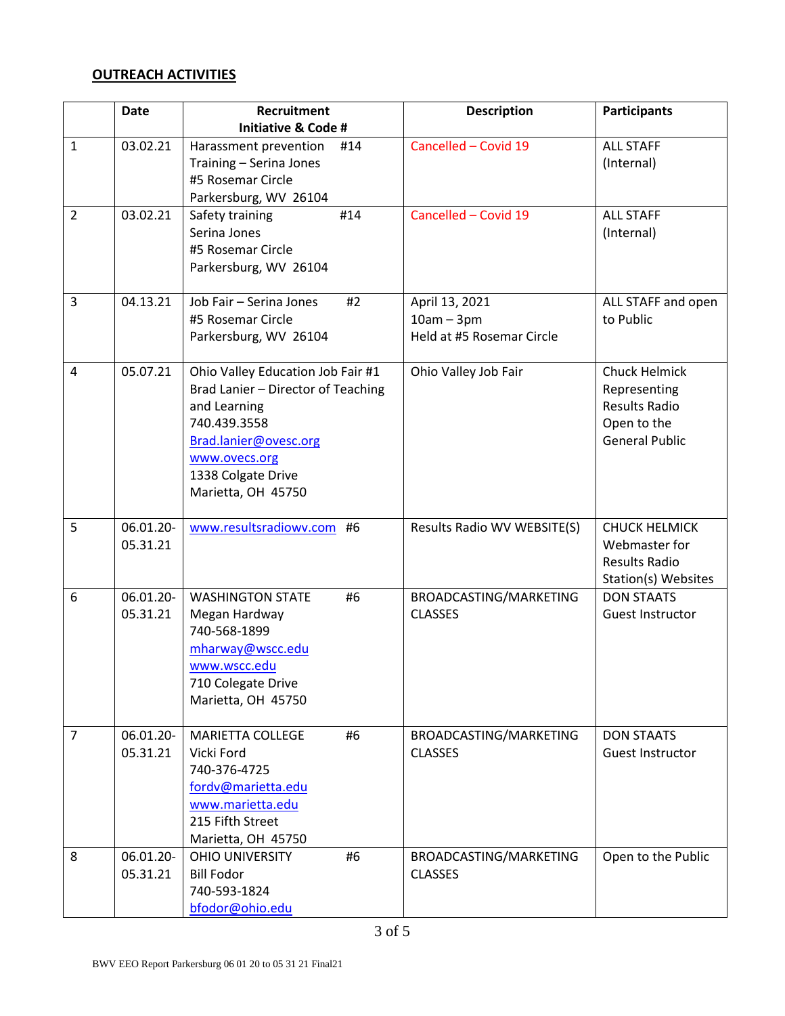## **OUTREACH ACTIVITIES**

|                | <b>Date</b>           | Recruitment                                                                                                                                                                                   | <b>Description</b>                                          | <b>Participants</b>                                                                           |
|----------------|-----------------------|-----------------------------------------------------------------------------------------------------------------------------------------------------------------------------------------------|-------------------------------------------------------------|-----------------------------------------------------------------------------------------------|
|                |                       | <b>Initiative &amp; Code #</b>                                                                                                                                                                |                                                             |                                                                                               |
| $\mathbf{1}$   | 03.02.21              | Harassment prevention<br>#14<br>Training - Serina Jones<br>#5 Rosemar Circle<br>Parkersburg, WV 26104                                                                                         | Cancelled - Covid 19                                        | <b>ALL STAFF</b><br>(Internal)                                                                |
| $\overline{2}$ | 03.02.21              | #14<br>Safety training<br>Serina Jones<br>#5 Rosemar Circle<br>Parkersburg, WV 26104                                                                                                          | Cancelled - Covid 19                                        | <b>ALL STAFF</b><br>(Internal)                                                                |
| $\overline{3}$ | 04.13.21              | Job Fair - Serina Jones<br>#2<br>#5 Rosemar Circle<br>Parkersburg, WV 26104                                                                                                                   | April 13, 2021<br>$10am - 3pm$<br>Held at #5 Rosemar Circle | ALL STAFF and open<br>to Public                                                               |
| $\overline{4}$ | 05.07.21              | Ohio Valley Education Job Fair #1<br>Brad Lanier - Director of Teaching<br>and Learning<br>740.439.3558<br>Brad.lanier@ovesc.org<br>www.ovecs.org<br>1338 Colgate Drive<br>Marietta, OH 45750 | Ohio Valley Job Fair                                        | Chuck Helmick<br>Representing<br><b>Results Radio</b><br>Open to the<br><b>General Public</b> |
| 5              | 06.01.20-<br>05.31.21 | www.resultsradiowv.com #6                                                                                                                                                                     | Results Radio WV WEBSITE(S)                                 | <b>CHUCK HELMICK</b><br>Webmaster for<br><b>Results Radio</b><br>Station(s) Websites          |
| 6              | 06.01.20-<br>05.31.21 | <b>WASHINGTON STATE</b><br>#6<br>Megan Hardway<br>740-568-1899<br>mharway@wscc.edu<br>www.wscc.edu<br>710 Colegate Drive<br>Marietta, OH 45750                                                | BROADCASTING/MARKETING<br><b>CLASSES</b>                    | <b>DON STAATS</b><br>Guest Instructor                                                         |
| $\overline{7}$ | 06.01.20-<br>05.31.21 | <b>MARIETTA COLLEGE</b><br>#6<br>Vicki Ford<br>740-376-4725<br>fordv@marietta.edu<br>www.marietta.edu<br>215 Fifth Street<br>Marietta, OH 45750                                               | BROADCASTING/MARKETING<br><b>CLASSES</b>                    | <b>DON STAATS</b><br><b>Guest Instructor</b>                                                  |
| 8              | 06.01.20-<br>05.31.21 | <b>OHIO UNIVERSITY</b><br>#6<br><b>Bill Fodor</b><br>740-593-1824<br>bfodor@ohio.edu                                                                                                          | BROADCASTING/MARKETING<br><b>CLASSES</b>                    | Open to the Public                                                                            |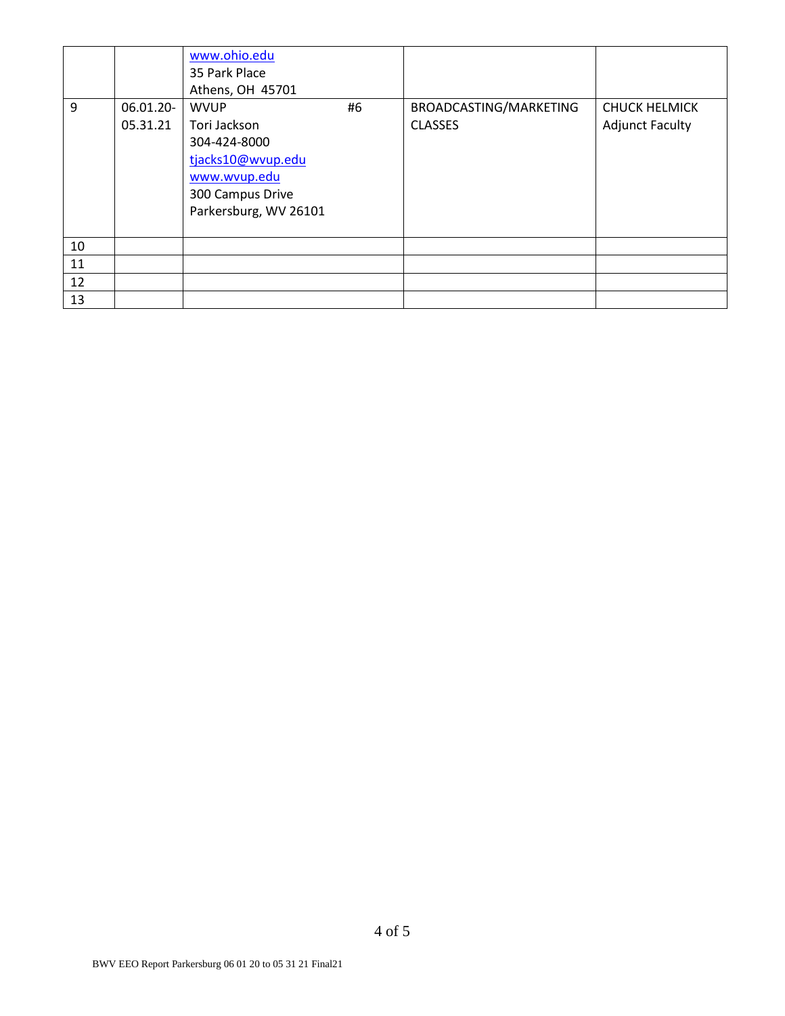|    |                       | www.ohio.edu<br>35 Park Place<br>Athens, OH 45701                                                                             |    |                                          |                                                |
|----|-----------------------|-------------------------------------------------------------------------------------------------------------------------------|----|------------------------------------------|------------------------------------------------|
| 9  | 06.01.20-<br>05.31.21 | <b>WVUP</b><br>Tori Jackson<br>304-424-8000<br>tjacks10@wvup.edu<br>www.wvup.edu<br>300 Campus Drive<br>Parkersburg, WV 26101 | #6 | BROADCASTING/MARKETING<br><b>CLASSES</b> | <b>CHUCK HELMICK</b><br><b>Adjunct Faculty</b> |
| 10 |                       |                                                                                                                               |    |                                          |                                                |
| 11 |                       |                                                                                                                               |    |                                          |                                                |
| 12 |                       |                                                                                                                               |    |                                          |                                                |
| 13 |                       |                                                                                                                               |    |                                          |                                                |